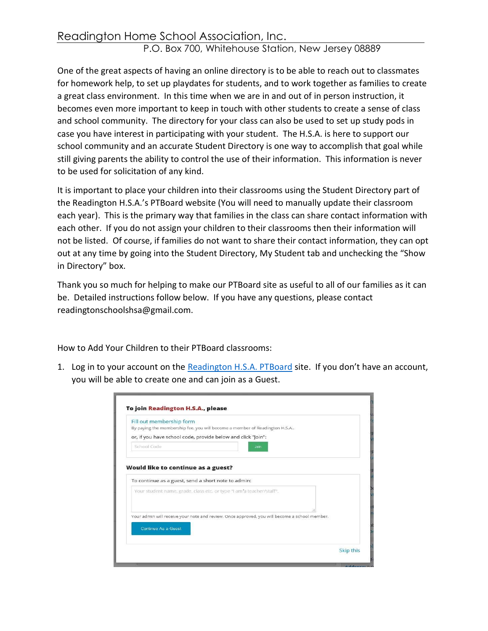## Readington Home School Association, Inc.

## P.O. Box 700, Whitehouse Station, New Jersey 08889

One of the great aspects of having an online directory is to be able to reach out to classmates for homework help, to set up playdates for students, and to work together as families to create a great class environment. In this time when we are in and out of in person instruction, it becomes even more important to keep in touch with other students to create a sense of class and school community. The directory for your class can also be used to set up study pods in case you have interest in participating with your student. The H.S.A. is here to support our school community and an accurate Student Directory is one way to accomplish that goal while still giving parents the ability to control the use of their information. This information is never to be used for solicitation of any kind.

It is important to place your children into their classrooms using the Student Directory part of the Readington H.S.A.'s PTBoard website (You will need to manually update their classroom each year). This is the primary way that families in the class can share contact information with each other. If you do not assign your children to their classrooms then their information will not be listed. Of course, if families do not want to share their contact information, they can opt out at any time by going into the Student Directory, My Student tab and unchecking the "Show in Directory" box.

Thank you so much for helping to make our PTBoard site as useful to all of our families as it can be. Detailed instructions follow below. If you have any questions, please contact readingtonschoolshsa@gmail.com.

How to Add Your Children to their PTBoard classrooms:

1. Log in to your account on the Readington H.S.A. PTBoard site. If you don't have an account, you will be able to create one and can join as a Guest.

|                                    | Fill out membership form                                                                      |  |
|------------------------------------|-----------------------------------------------------------------------------------------------|--|
|                                    | By paying the membership fee, you will become a member of Readington H.S.A.,                  |  |
|                                    | or, if you have school code, provide below and click "Join":                                  |  |
| School Code                        | Join                                                                                          |  |
|                                    |                                                                                               |  |
| Would like to continue as a guest? |                                                                                               |  |
|                                    | To continue as a guest, send a short note to admin:                                           |  |
|                                    |                                                                                               |  |
|                                    | Your student name, grade, class etc. or type "I am'a teacher/staff".                          |  |
|                                    |                                                                                               |  |
|                                    |                                                                                               |  |
|                                    | Your admin will receive your note and review. Once approved, you will become a school member. |  |
|                                    |                                                                                               |  |
| Continue As a Guest                |                                                                                               |  |